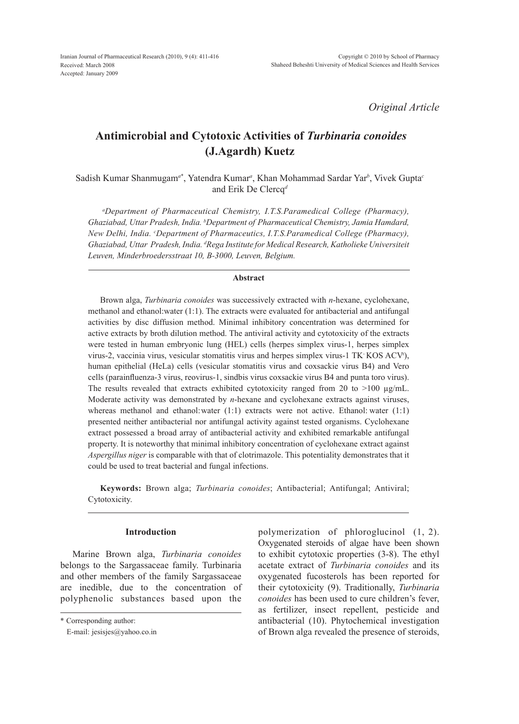*Original Article*

# **Antimicrobial and Cytotoxic Activities of** *Turbinaria conoides* **(J.Agardh) Kuetz**

Sadish Kumar Shanmugam*<sup>a</sup>*\* , Yatendra Kumar*<sup>a</sup>* , Khan Mohammad Sardar Yar*<sup>b</sup>* , Vivek Gupta*<sup>c</sup>* and Erik De Clercq*<sup>d</sup>*

*a Department of Pharmaceutical Chemistry, I.T.S.Paramedical College (Pharmacy), Ghaziabad, Uttar Pradesh, India. b Department of Pharmaceutical Chemistry, Jamia Hamdard, New Delhi, India. c Department of Pharmaceutics, I.T.S.Paramedical College (Pharmacy), Ghaziabad, Uttar Pradesh, India. d Rega Institute for Medical Research, Katholieke Universiteit Leuven, Minderbroedersstraat 10, B-3000, Leuven, Belgium.*

## **Abstract**

Brown alga, *Turbinaria conoides* was successively extracted with *n*-hexane, cyclohexane, methanol and ethanol:water (1:1). The extracts were evaluated for antibacterial and antifungal activities by disc diffusion method. Minimal inhibitory concentration was determined for active extracts by broth dilution method. The antiviral activity and cytotoxicity of the extracts were tested in human embryonic lung (HEL) cells (herpes simplex virus-1, herpes simplex virus-2, vaccinia virus, vesicular stomatitis virus and herpes simplex virus-1 TK- KOS ACVr ), human epithelial (HeLa) cells (vesicular stomatitis virus and coxsackie virus B4) and Vero cells (parainfluenza-3 virus, reovirus-1, sindbis virus coxsackie virus B4 and punta toro virus). The results revealed that extracts exhibited cytotoxicity ranged from 20 to  $>100 \mu g/mL$ . Moderate activity was demonstrated by *n*-hexane and cyclohexane extracts against viruses, whereas methanol and ethanol: water (1:1) extracts were not active. Ethanol: water (1:1) presented neither antibacterial nor antifungal activity against tested organisms. Cyclohexane extract possessed a broad array of antibacterial activity and exhibited remarkable antifungal property. It is noteworthy that minimal inhibitory concentration of cyclohexane extract against *Aspergillus niger* is comparable with that of clotrimazole. This potentiality demonstrates that it could be used to treat bacterial and fungal infections.

**Keywords:** Brown alga; *Turbinaria conoides*; Antibacterial; Antifungal; Antiviral; Cytotoxicity.

## **Introduction**

Marine Brown alga, *Turbinaria conoides* belongs to the Sargassaceae family. Turbinaria and other members of the family Sargassaceae are inedible, due to the concentration of polyphenolic substances based upon the polymerization of phloroglucinol (1, 2). Oxygenated steroids of algae have been shown to exhibit cytotoxic properties (3-8). The ethyl acetate extract of *Turbinaria conoides* and its oxygenated fucosterols has been reported for their cytotoxicity (9). Traditionally, *Turbinaria conoides* has been used to cure children's fever, as fertilizer, insect repellent, pesticide and antibacterial (10). Phytochemical investigation of Brown alga revealed the presence of steroids,

<sup>\*</sup> Corresponding author:

E-mail: jesisjes@yahoo.co.in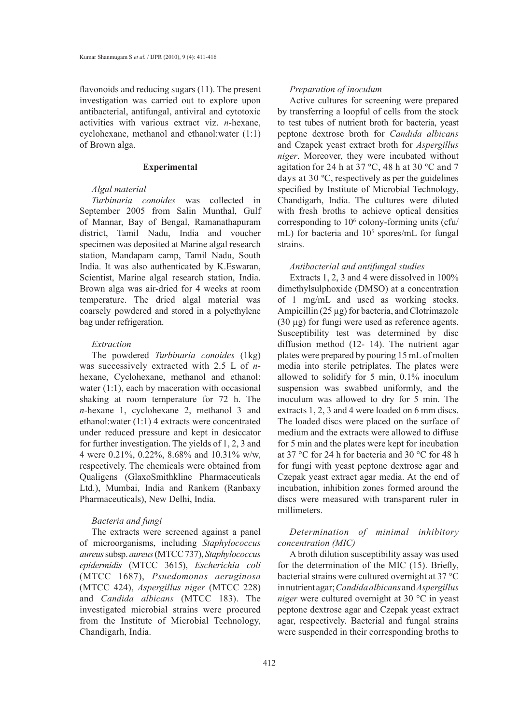flavonoids and reducing sugars (11). The present investigation was carried out to explore upon antibacterial, antifungal, antiviral and cytotoxic activities with various extract viz. *n*-hexane, cyclohexane, methanol and ethanol:water (1:1) of Brown alga.

#### **Experimental**

## *Algal material*

*Turbinaria conoides* was collected in September 2005 from Salin Munthal, Gulf of Mannar, Bay of Bengal, Ramanathapuram district, Tamil Nadu, India and voucher specimen was deposited at Marine algal research station, Mandapam camp, Tamil Nadu, South India. It was also authenticated by K.Eswaran, Scientist, Marine algal research station, India. Brown alga was air-dried for 4 weeks at room temperature. The dried algal material was coarsely powdered and stored in a polyethylene bag under refrigeration.

#### *Extraction*

The powdered *Turbinaria conoides* (1kg) was successively extracted with 2.5 L of *n*hexane, Cyclohexane, methanol and ethanol: water  $(1:1)$ , each by maceration with occasional shaking at room temperature for 72 h. The *n*-hexane 1, cyclohexane 2, methanol 3 and ethanol:water (1:1) 4 extracts were concentrated under reduced pressure and kept in desiccator for further investigation. The yields of 1, 2, 3 and 4 were 0.21%, 0.22%, 8.68% and 10.31% w/w, respectively. The chemicals were obtained from Qualigens (GlaxoSmithkline Pharmaceuticals Ltd.), Mumbai, India and Rankem (Ranbaxy Pharmaceuticals), New Delhi, India.

## *Bacteria and fungi*

The extracts were screened against a panel of microorganisms, including *Staphylococcus aureus* subsp. *aureus* (MTCC 737), *Staphylococcus epidermidis* (MTCC 3615), *Escherichia coli* (MTCC 1687), *Psuedomonas aeruginosa* (MTCC 424), *Aspergillus niger* (MTCC 228) and *Candida albicans* (MTCC 183). The investigated microbial strains were procured from the Institute of Microbial Technology, Chandigarh, India.

### *Preparation of inoculum*

Active cultures for screening were prepared by transferring a loopful of cells from the stock to test tubes of nutrient broth for bacteria, yeast peptone dextrose broth for *Candida albicans* and Czapek yeast extract broth for *Aspergillus niger*. Moreover, they were incubated without agitation for 24 h at 37 ºC, 48 h at 30 ºC and 7 days at 30 ºC, respectively as per the guidelines specified by Institute of Microbial Technology, Chandigarh, India. The cultures were diluted with fresh broths to achieve optical densities corresponding to  $10<sup>6</sup>$  colony-forming units (cfu/ mL) for bacteria and  $10<sup>5</sup>$  spores/mL for fungal strains.

#### *Antibacterial and antifungal studies*

Extracts 1, 2, 3 and 4 were dissolved in 100% dimethylsulphoxide (DMSO) at a concentration of 1 mg/mL and used as working stocks. Ampicillin (25 µg) for bacteria, and Clotrimazole (30 µg) for fungi were used as reference agents. Susceptibility test was determined by disc diffusion method (12- 14). The nutrient agar plates were prepared by pouring 15 mL of molten media into sterile petriplates. The plates were allowed to solidify for 5 min, 0.1% inoculum suspension was swabbed uniformly, and the inoculum was allowed to dry for 5 min. The extracts 1, 2, 3 and 4 were loaded on 6 mm discs. The loaded discs were placed on the surface of medium and the extracts were allowed to diffuse for 5 min and the plates were kept for incubation at 37 °C for 24 h for bacteria and 30 °C for 48 h for fungi with yeast peptone dextrose agar and Czepak yeast extract agar media. At the end of incubation, inhibition zones formed around the discs were measured with transparent ruler in millimeters.

## *Determination of minimal inhibitory concentration (MIC)*

A broth dilution susceptibility assay was used for the determination of the MIC (15). Briefly, bacterial strains were cultured overnight at 37 °C in nutrient agar; *Candida albicans* and *Aspergillus niger* were cultured overnight at 30 °C in yeast peptone dextrose agar and Czepak yeast extract agar, respectively. Bacterial and fungal strains were suspended in their corresponding broths to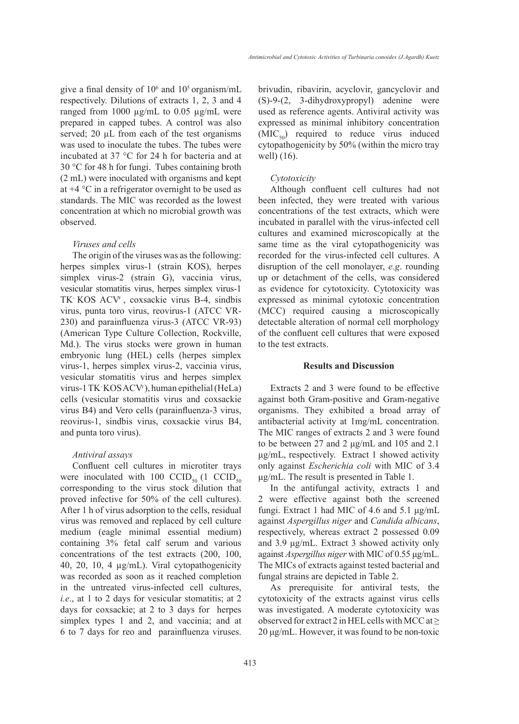give a final density of  $10^6$  and  $10^5$  organism/mL respectively. Dilutions of extracts 1, 2, 3 and 4 ranged from 1000  $\mu$ g/mL to 0.05  $\mu$ g/mL were prepared in capped tubes. A control was also served; 20 µL from each of the test organisms was used to inoculate the tubes. The tubes were incubated at 37 °C for 24 h for bacteria and at 30 °C for 48 h for fungi. Tubes containing broth (2 mL) were inoculated with organisms and kept at  $+4$  °C in a refrigerator overnight to be used as standards. The MIC was recorded as the lowest concentration at which no microbial growth was observed.

#### *Viruses and cells*

The origin of the viruses was as the following: herpes simplex virus-1 (strain KOS), herpes simplex virus-2 (strain G), vaccinia virus, vesicular stomatitis virus, herpes simplex virus-1 TK- KOS ACVr , coxsackie virus B-4, sindbis virus, punta toro virus, reovirus-1 (ATCC VR-230) and parainfluenza virus-3 (ATCC VR-93) (American Type Culture Collection, Rockville, Md.). The virus stocks were grown in human embryonic lung (HEL) cells (herpes simplex virus-1, herpes simplex virus-2, vaccinia virus, vesicular stomatitis virus and herpes simplex virus-1 TK- KOS ACVr ), human epithelial (HeLa) cells (vesicular stomatitis virus and coxsackie virus B4) and Vero cells (parainfluenza-3 virus, reovirus-1, sindbis virus, coxsackie virus B4, and punta toro virus).

#### *Antiviral assays*

Confluent cell cultures in microtiter trays were inoculated with 100  $CCID_{50}$  (1  $CCID_{50}$ corresponding to the virus stock dilution that proved infective for 50% of the cell cultures). After 1 h of virus adsorption to the cells, residual virus was removed and replaced by cell culture medium (eagle minimal essential medium) containing 3% fetal calf serum and various concentrations of the test extracts (200, 100, 40, 20, 10, 4 µg/mL). Viral cytopathogenicity was recorded as soon as it reached completion in the untreated virus-infected cell cultures, *i.e.*, at 1 to 2 days for vesicular stomatitis; at 2 days for coxsackie; at 2 to 3 days for herpes simplex types 1 and 2, and vaccinia; and at 6 to 7 days for reo and parainfluenza viruses.

brivudin, ribavirin, acyclovir, gancyclovir and (S)-9-(2, 3-dihydroxypropyl) adenine were used as reference agents. Antiviral activity was expressed as minimal inhibitory concentration  $(MIC<sub>50</sub>)$  required to reduce virus induced cytopathogenicity by 50% (within the micro tray well) (16).

#### *Cytotoxicity*

Although confluent cell cultures had not been infected, they were treated with various concentrations of the test extracts, which were incubated in parallel with the virus-infected cell cultures and examined microscopically at the same time as the viral cytopathogenicity was recorded for the virus-infected cell cultures. A disruption of the cell monolayer, *e.g*. rounding up or detachment of the cells, was considered as evidence for cytotoxicity. Cytotoxicity was expressed as minimal cytotoxic concentration (MCC) required causing a microscopically detectable alteration of normal cell morphology of the confluent cell cultures that were exposed to the test extracts.

#### **Results and Discussion**

Extracts 2 and 3 were found to be effective against both Gram-positive and Gram-negative organisms. They exhibited a broad array of antibacterial activity at 1mg/mL concentration. The MIC ranges of extracts 2 and 3 were found to be between 27 and 2 μg/mL and 105 and 2.1 μg/mL, respectively. Extract 1 showed activity only against *Escherichia coli* with MIC of 3.4 μg/mL. The result is presented in Table 1.

In the antifungal activity, extracts 1 and 2 were effective against both the screened fungi. Extract 1 had MIC of 4.6 and 5.1 μg/mL against *Aspergillus niger* and *Candida albicans*, respectively, whereas extract 2 possessed 0.09 and 3.9 μg/mL. Extract 3 showed activity only against *Aspergillus niger* with MIC of 0.55 μg/mL. The MICs of extracts against tested bacterial and fungal strains are depicted in Table 2.

As prerequisite for antiviral tests, the cytotoxicity of the extracts against virus cells was investigated. A moderate cytotoxicity was observed for extract 2 in HEL cells with MCC at  $\geq$ 20 μg/mL. However, it was found to be non-toxic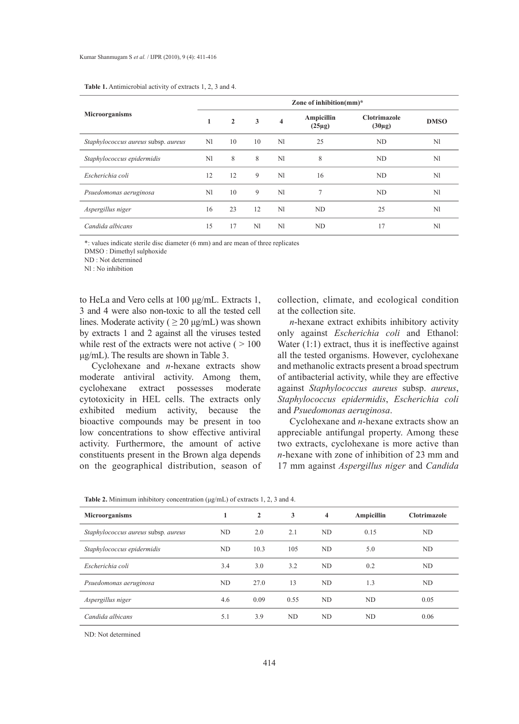| <b>Table 1.</b> Antimicrobial activity of extracts 1, 2, 3 and 4. |  |
|-------------------------------------------------------------------|--|
|-------------------------------------------------------------------|--|

|                                     | Zone of inhibition(mm)*  |    |                                                      |    |                                                   |    |    |  |
|-------------------------------------|--------------------------|----|------------------------------------------------------|----|---------------------------------------------------|----|----|--|
| Microorganisms                      | $\overline{2}$<br>3<br>1 |    | Ampicillin<br>$\overline{\mathbf{4}}$<br>$(25\mu g)$ |    | <b>Clotrimazole</b><br><b>DMSO</b><br>$(30\mu g)$ |    |    |  |
| Staphylococcus aureus subsp. aureus | N1                       | 10 | 10                                                   | N1 | 25                                                | ND | N1 |  |
| Staphylococcus epidermidis          | N1                       | 8  | 8                                                    | N1 | 8                                                 | ND | N1 |  |
| Escherichia coli                    | 12                       | 12 | 9                                                    | N1 | 16                                                | ND | N1 |  |
| Psuedomonas aeruginosa              | N1                       | 10 | 9                                                    | N1 | 7                                                 | ND | N1 |  |
| Aspergillus niger                   | 16                       | 23 | 12                                                   | N1 | ND                                                | 25 | N1 |  |
| Candida albicans                    | 15                       | 17 | N1                                                   | N1 | ND                                                | 17 | N1 |  |

\*: values indicate sterile disc diameter (6 mm) and are mean of three replicates

DMSO : Dimethyl sulphoxide

ND : Not determined

Nl : No inhibition

to HeLa and Vero cells at 100 μg/mL. Extracts 1, 3 and 4 were also non-toxic to all the tested cell lines. Moderate activity ( $\geq 20 \text{ µg/mL}$ ) was shown by extracts 1 and 2 against all the viruses tested while rest of the extracts were not active  $( > 100$ μg/mL). The results are shown in Table 3.

Cyclohexane and *n*-hexane extracts show moderate antiviral activity. Among them, cyclohexane extract possesses moderate cytotoxicity in HEL cells. The extracts only exhibited medium activity, because the bioactive compounds may be present in too low concentrations to show effective antiviral activity. Furthermore, the amount of active constituents present in the Brown alga depends on the geographical distribution, season of

collection, climate, and ecological condition at the collection site.

*n*-hexane extract exhibits inhibitory activity only against *Escherichia coli* and Ethanol: Water  $(1:1)$  extract, thus it is ineffective against all the tested organisms. However, cyclohexane and methanolic extracts present a broad spectrum of antibacterial activity, while they are effective against *Staphylococcus aureus* subsp. *aureus*, *Staphylococcus epidermidis*, *Escherichia coli* and *Psuedomonas aeruginosa*.

Cyclohexane and *n*-hexane extracts show an appreciable antifungal property. Among these two extracts, cyclohexane is more active than *n*-hexane with zone of inhibition of 23 mm and 17 mm against *Aspergillus niger* and *Candida* 

| <b>Microorganisms</b>               | 1   | $\overline{2}$ | 3    | $\overline{\mathbf{4}}$ | Ampicillin | <b>Clotrimazole</b> |
|-------------------------------------|-----|----------------|------|-------------------------|------------|---------------------|
| Staphylococcus aureus subsp. aureus | ND  | 2.0            | 2.1  | ND                      | 0.15       | ND                  |
| Staphylococcus epidermidis          | ND  | 10.3           | 105  | ND                      | 5.0        | ND                  |
| Escherichia coli                    | 3.4 | 3.0            | 3.2  | ND                      | 0.2        | ND                  |
| Psuedomonas aeruginosa              | ND  | 27.0           | 13   | ND                      | 1.3        | ND                  |
| Aspergillus niger                   | 4.6 | 0.09           | 0.55 | ND                      | ND.        | 0.05                |
| Candida albicans                    | 5.1 | 3.9            | ND   | ND                      | ND         | 0.06                |

ND: Not determined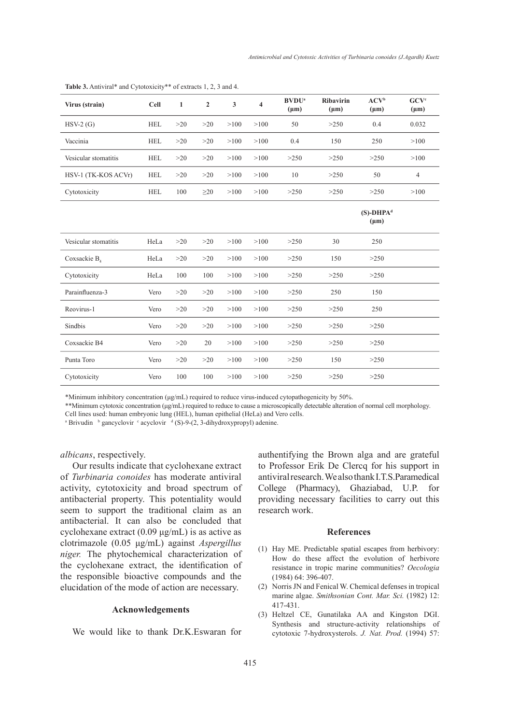| Virus (strain)           | <b>Cell</b> | $\mathbf{1}$ | $\overline{2}$ | $\mathbf{3}$ | 4    | <b>BVDU</b> <sup>a</sup><br>$(\mu m)$ | <b>Ribavirin</b><br>$(\mu m)$ | ACV <sup>b</sup><br>$(\mu m)$ | $\mathbf{GCV}^{\mathbf{c}}$<br>$(\mu m)$ |
|--------------------------|-------------|--------------|----------------|--------------|------|---------------------------------------|-------------------------------|-------------------------------|------------------------------------------|
| $HSV-2(G)$               | <b>HEL</b>  | >20          | >20            | >100         | >100 | 50                                    | >250                          | 0.4                           | 0.032                                    |
| Vaccinia                 | <b>HEL</b>  | >20          | >20            | >100         | >100 | 0.4                                   | 150                           | 250                           | >100                                     |
| Vesicular stomatitis     | <b>HEL</b>  | >20          | >20            | >100         | >100 | >250                                  | >250                          | >250                          | >100                                     |
| HSV-1 (TK-KOS ACVr)      | <b>HEL</b>  | >20          | >20            | >100         | >100 | 10                                    | >250                          | 50                            | $\overline{4}$                           |
| Cytotoxicity             | <b>HEL</b>  | 100          | $\geq$ 20      | >100         | >100 | >250                                  | >250                          | >250                          | >100                                     |
|                          |             |              |                |              |      |                                       |                               | $(S)$ -DHP $Ad$<br>$(\mu m)$  |                                          |
| Vesicular stomatitis     | HeLa        | >20          | >20            | >100         | >100 | >250                                  | 30                            | 250                           |                                          |
| Coxsackie B <sub>4</sub> | HeLa        | $>20$        | >20            | >100         | >100 | >250                                  | 150                           | >250                          |                                          |
| Cytotoxicity             | HeLa        | 100          | 100            | >100         | >100 | >250                                  | >250                          | >250                          |                                          |
| Parainfluenza-3          | Vero        | $>20$        | >20            | >100         | >100 | >250                                  | 250                           | 150                           |                                          |
| Reovirus-1               | Vero        | >20          | >20            | >100         | >100 | >250                                  | >250                          | 250                           |                                          |
| Sindbis                  | Vero        | >20          | >20            | >100         | >100 | >250                                  | >250                          | >250                          |                                          |
| Coxsackie B4             | Vero        | >20          | 20             | >100         | >100 | >250                                  | >250                          | >250                          |                                          |
| Punta Toro               | Vero        | >20          | >20            | >100         | >100 | >250                                  | 150                           | >250                          |                                          |
| Cytotoxicity             | Vero        | 100          | 100            | >100         | >100 | >250                                  | >250                          | >250                          |                                          |

**Table 3.** Antiviral\* and Cytotoxicity\*\* of extracts 1, 2, 3 and 4.

\*Minimum inhibitory concentration (μg/mL) required to reduce virus-induced cytopathogenicity by 50%.

\*\*Minimum cytotoxic concentration (μg/mL) required to reduce to cause a microscopically detectable alteration of normal cell morphology.

Cell lines used: human embryonic lung (HEL), human epithelial (HeLa) and Vero cells.

<sup>a</sup> Brivudin b gancyclovir c acyclovir d<sup>d</sup> (S)-9-(2, 3-dihydroxypropyl) adenine.

*albicans*, respectively.

Our results indicate that cyclohexane extract of *Turbinaria conoides* has moderate antiviral activity, cytotoxicity and broad spectrum of antibacterial property. This potentiality would seem to support the traditional claim as an antibacterial. It can also be concluded that cyclohexane extract (0.09 μg/mL) is as active as clotrimazole (0.05 μg/mL) against *Aspergillus niger.* The phytochemical characterization of the cyclohexane extract, the identification of the responsible bioactive compounds and the elucidation of the mode of action are necessary.

#### **Acknowledgements**

We would like to thank Dr.K.Eswaran for

authentifying the Brown alga and are grateful to Professor Erik De Clercq for his support in antiviral research. We also thank I.T.S.Paramedical College (Pharmacy), Ghaziabad, U.P. for providing necessary facilities to carry out this research work.

#### **References**

- (1) Hay ME. Predictable spatial escapes from herbivory: How do these affect the evolution of herbivore resistance in tropic marine communities? *Oecologia* (1984) 64: 396-407.
- (2) Norris JN and Fenical W. Chemical defenses in tropical marine algae. *Smithsonian Cont. Mar. Sci.* (1982) 12: 417-431.
- Heltzel CE, Gunatilaka AA and Kingston DGI. (3)Synthesis and structure-activity relationships of cytotoxic 7-hydroxysterols. *J. Nat. Prod.* (1994) 57: